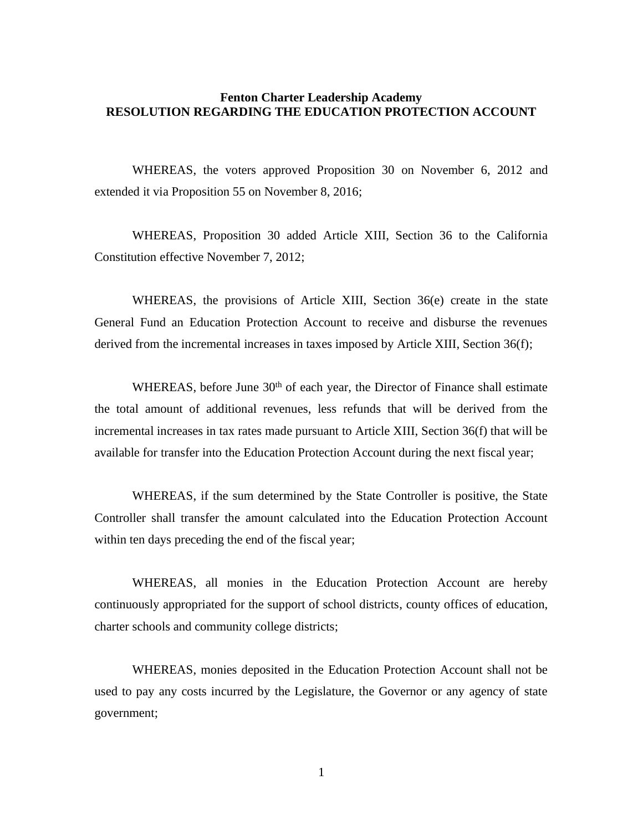## **Fenton Charter Leadership Academy RESOLUTION REGARDING THE EDUCATION PROTECTION ACCOUNT**

WHEREAS, the voters approved Proposition 30 on November 6, 2012 and extended it via Proposition 55 on November 8, 2016;

WHEREAS, Proposition 30 added Article XIII, Section 36 to the California Constitution effective November 7, 2012;

WHEREAS, the provisions of Article XIII, Section 36(e) create in the state General Fund an Education Protection Account to receive and disburse the revenues derived from the incremental increases in taxes imposed by Article XIII, Section 36(f);

WHEREAS, before June 30<sup>th</sup> of each year, the Director of Finance shall estimate the total amount of additional revenues, less refunds that will be derived from the incremental increases in tax rates made pursuant to Article XIII, Section 36(f) that will be available for transfer into the Education Protection Account during the next fiscal year;

WHEREAS, if the sum determined by the State Controller is positive, the State Controller shall transfer the amount calculated into the Education Protection Account within ten days preceding the end of the fiscal year;

WHEREAS, all monies in the Education Protection Account are hereby continuously appropriated for the support of school districts, county offices of education, charter schools and community college districts;

WHEREAS, monies deposited in the Education Protection Account shall not be used to pay any costs incurred by the Legislature, the Governor or any agency of state government;

1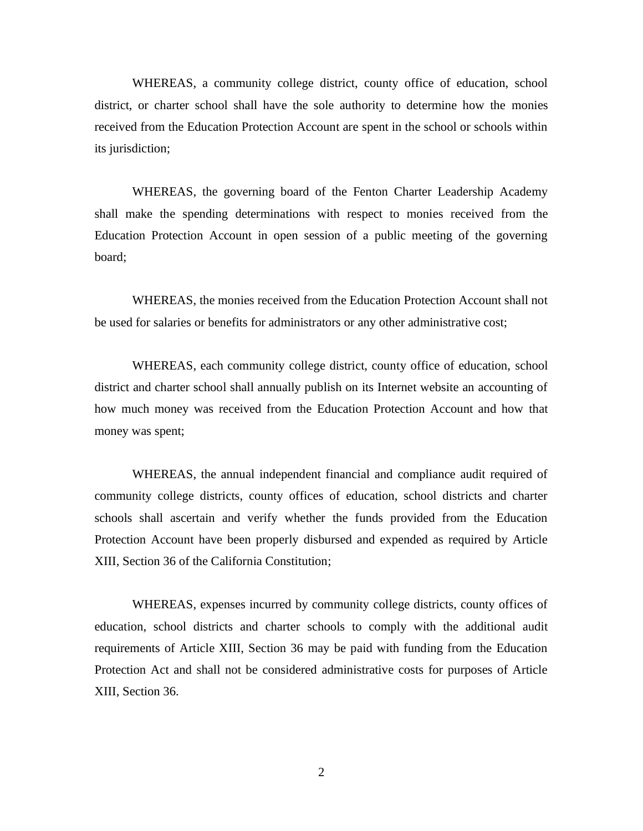WHEREAS, a community college district, county office of education, school district, or charter school shall have the sole authority to determine how the monies received from the Education Protection Account are spent in the school or schools within its jurisdiction;

WHEREAS, the governing board of the Fenton Charter Leadership Academy shall make the spending determinations with respect to monies received from the Education Protection Account in open session of a public meeting of the governing board;

WHEREAS, the monies received from the Education Protection Account shall not be used for salaries or benefits for administrators or any other administrative cost;

WHEREAS, each community college district, county office of education, school district and charter school shall annually publish on its Internet website an accounting of how much money was received from the Education Protection Account and how that money was spent;

WHEREAS, the annual independent financial and compliance audit required of community college districts, county offices of education, school districts and charter schools shall ascertain and verify whether the funds provided from the Education Protection Account have been properly disbursed and expended as required by Article XIII, Section 36 of the California Constitution;

WHEREAS, expenses incurred by community college districts, county offices of education, school districts and charter schools to comply with the additional audit requirements of Article XIII, Section 36 may be paid with funding from the Education Protection Act and shall not be considered administrative costs for purposes of Article XIII, Section 36.